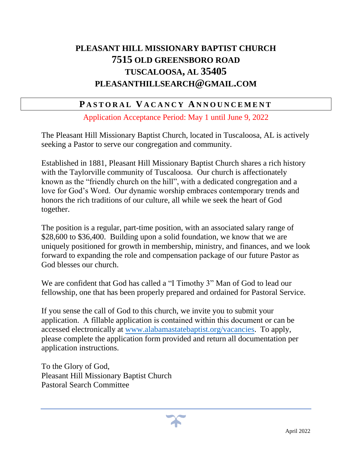# **PLEASANT HILL MISSIONARY BAPTIST CHURCH 7515 OLD GREENSBORO ROAD TUSCALOOSA, AL 35405 PLEASANTHILLSEARCH@GMAIL.COM**

## **P ASTORAL V ACANCY A N N O U N C E M E N T**

Application Acceptance Period: May 1 until June 9, 2022

The Pleasant Hill Missionary Baptist Church, located in Tuscaloosa, AL is actively seeking a Pastor to serve our congregation and community.

Established in 1881, Pleasant Hill Missionary Baptist Church shares a rich history with the Taylorville community of Tuscaloosa. Our church is affectionately known as the "friendly church on the hill", with a dedicated congregation and a love for God's Word. Our dynamic worship embraces contemporary trends and honors the rich traditions of our culture, all while we seek the heart of God together.

The position is a regular, part-time position, with an associated salary range of \$28,600 to \$36,400. Building upon a solid foundation, we know that we are uniquely positioned for growth in membership, ministry, and finances, and we look forward to expanding the role and compensation package of our future Pastor as God blesses our church.

We are confident that God has called a "I Timothy 3" Man of God to lead our fellowship, one that has been properly prepared and ordained for Pastoral Service.

If you sense the call of God to this church, we invite you to submit your application. A fillable application is contained within this document or can be [accessed electronically at www.alabama](http://www.alabamastatebaptist.org/vacancies)statebaptist.org/vacancies. To apply, please complete the application form provided and return all documentation per application instructions.

To the Glory of God, Pleasant Hill Missionary Baptist Church Pastoral Search Committee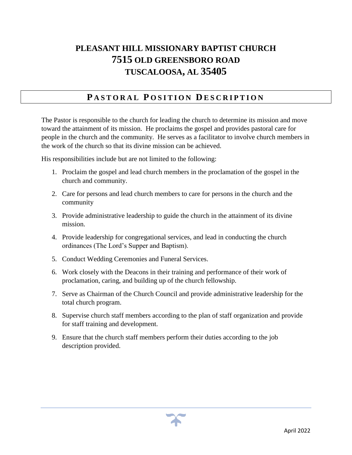# **PLEASANT HILL MISSIONARY BAPTIST CHURCH 7515 OLD GREENSBORO ROAD TUSCALOOSA, AL 35405**

## **P ASTORAL P OSITION D E S C R I P T I O N**

The Pastor is responsible to the church for leading the church to determine its mission and move toward the attainment of its mission. He proclaims the gospel and provides pastoral care for people in the church and the community. He serves as a facilitator to involve church members in the work of the church so that its divine mission can be achieved.

His responsibilities include but are not limited to the following:

- 1. Proclaim the gospel and lead church members in the proclamation of the gospel in the church and community.
- 2. Care for persons and lead church members to care for persons in the church and the community
- 3. Provide administrative leadership to guide the church in the attainment of its divine mission.
- 4. Provide leadership for congregational services, and lead in conducting the church ordinances (The Lord's Supper and Baptism).
- 5. Conduct Wedding Ceremonies and Funeral Services.
- 6. Work closely with the Deacons in their training and performance of their work of proclamation, caring, and building up of the church fellowship.
- 7. Serve as Chairman of the Church Council and provide administrative leadership for the total church program.
- 8. Supervise church staff members according to the plan of staff organization and provide for staff training and development.
- 9. Ensure that the church staff members perform their duties according to the job description provided.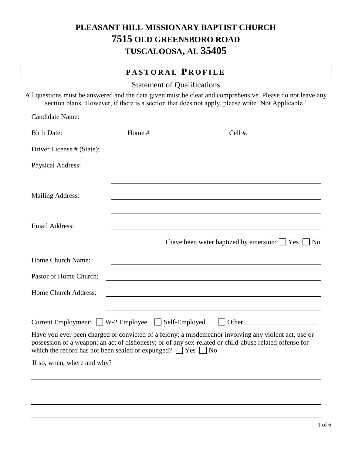# **PLEASANT HILL MISSIONARY BAPTIST CHURCH 7515 OLD GREENSBORO ROAD TUSCALOOSA, AL 35405**

# **PASTO R A L P R O F I L E**

### Statement of Qualifications

All questions must be answered and the data given must be clear and comprehensive. Please do not leave any section blank. However, if there is a section that does not apply, please write 'Not Applicable.'

| <b>Candidate Name:</b>                                                 |                                                                                                                                                                                                                |
|------------------------------------------------------------------------|----------------------------------------------------------------------------------------------------------------------------------------------------------------------------------------------------------------|
| <b>Birth Date:</b>                                                     | Cell #: $\qquad \qquad \qquad$                                                                                                                                                                                 |
| Driver License # (State):                                              |                                                                                                                                                                                                                |
| <b>Physical Address:</b>                                               |                                                                                                                                                                                                                |
| <b>Mailing Address:</b>                                                |                                                                                                                                                                                                                |
| <b>Email Address:</b>                                                  |                                                                                                                                                                                                                |
|                                                                        | I have been water baptized by emersion: $\Box$ Yes<br>N <sub>0</sub>                                                                                                                                           |
| Home Church Name:                                                      |                                                                                                                                                                                                                |
| Pastor of Home Church:                                                 |                                                                                                                                                                                                                |
| Home Church Address:                                                   |                                                                                                                                                                                                                |
| Current Employment: $\Box$ W-2 Employee                                | Self-Employed<br>Other                                                                                                                                                                                         |
| which the record has not been sealed or expunged? $\Box$ Yes $\Box$ No | Have you ever been charged or convicted of a felony; a misdemeanor involving any violent act, use or<br>possession of a weapon; an act of dishonesty; or of any sex-related or child-abuse related offense for |
| If so, when, where and why?                                            |                                                                                                                                                                                                                |
|                                                                        |                                                                                                                                                                                                                |
|                                                                        |                                                                                                                                                                                                                |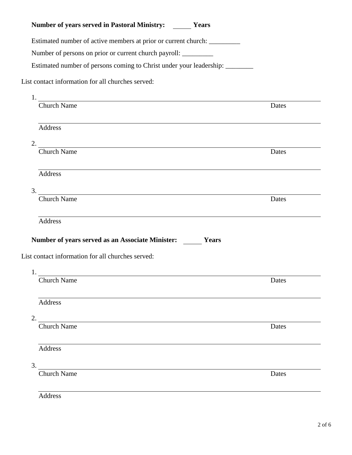|  | <b>Number of years served in Pastoral Ministry:</b> | <b>Years</b> |
|--|-----------------------------------------------------|--------------|
|--|-----------------------------------------------------|--------------|

Estimated number of active members at prior or current church: \_\_\_\_\_\_\_\_\_\_\_\_\_\_\_\_\_

Number of persons on prior or current church payroll: \_\_\_\_\_\_\_\_\_\_

Estimated number of persons coming to Christ under your leadership: \_\_\_\_\_\_\_\_\_

List contact information for all churches served:

| <u> 1989 - John Stein, Amerikaansk politiker (</u>                                                                                                                                                        |       |
|-----------------------------------------------------------------------------------------------------------------------------------------------------------------------------------------------------------|-------|
| <b>Church Name</b>                                                                                                                                                                                        | Dates |
| Address                                                                                                                                                                                                   |       |
|                                                                                                                                                                                                           |       |
| $2.$ Church Name                                                                                                                                                                                          | Dates |
| Address                                                                                                                                                                                                   |       |
| $\frac{3}{2}$                                                                                                                                                                                             |       |
| <b>Church Name</b>                                                                                                                                                                                        | Dates |
| Address                                                                                                                                                                                                   |       |
|                                                                                                                                                                                                           |       |
|                                                                                                                                                                                                           |       |
|                                                                                                                                                                                                           | Dates |
| ,我们也不会有什么。""我们的人,我们也不会有什么?""我们的人,我们也不会有什么?""我们的人,我们也不会有什么?""我们的人,我们也不会有什么?""我们的人                                                                                                                          |       |
|                                                                                                                                                                                                           |       |
|                                                                                                                                                                                                           | Dates |
|                                                                                                                                                                                                           |       |
|                                                                                                                                                                                                           |       |
| Number of years served as an Associate Minister: Vears<br>List contact information for all churches served:<br><b>Church Name</b><br>Address<br>2.<br><b>Church Name</b><br>Address<br><b>Church Name</b> | Dates |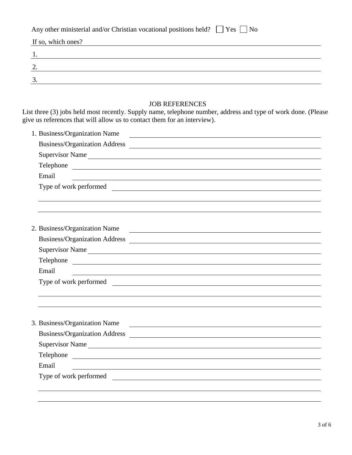|  |  | Any other ministerial and/or Christian vocational positions held? $\Box$ Yes $\Box$ No |  |  |  |  |
|--|--|----------------------------------------------------------------------------------------|--|--|--|--|
|--|--|----------------------------------------------------------------------------------------|--|--|--|--|

| If so, which ones? |  |  |
|--------------------|--|--|
|                    |  |  |
| ി                  |  |  |
| ◠<br>◡             |  |  |

### JOB REFERENCES

List three (3) jobs held most recently. Supply name, telephone number, address and type of work done. (Please give us references that will allow us to contact them for an interview).

| 1. Business/Organization Name | <u> 1989 - Andrea Barbara, amerikan personal di personal dengan personal dengan personal dengan personal dengan </u> |
|-------------------------------|----------------------------------------------------------------------------------------------------------------------|
|                               |                                                                                                                      |
|                               | Supervisor Name                                                                                                      |
|                               | Telephone                                                                                                            |
| Email                         | <u> 1989 - Johann John Stein, markin fan it ferstjer fan de ferstjer fan it ferstjer fan de ferstjer fan de fers</u> |
|                               | Type of work performed                                                                                               |
|                               |                                                                                                                      |
|                               |                                                                                                                      |
| 2. Business/Organization Name |                                                                                                                      |
|                               | Business/Organization Address                                                                                        |
|                               | Supervisor Name                                                                                                      |
|                               | Telephone                                                                                                            |
| Email                         |                                                                                                                      |
|                               | Type of work performed                                                                                               |
|                               |                                                                                                                      |
| 3. Business/Organization Name | <u> La Carlo Carlo Carlo Carlo Carlo Carlo Carlo Carlo Carlo Carlo Carlo Carlo Carlo Carlo Carlo Carlo Carlo Car</u> |
|                               |                                                                                                                      |
|                               |                                                                                                                      |
|                               | Telephone                                                                                                            |
| Email                         | <u> 1989 - Johann Stein, marwolaethau a bhann an t-Amhair ann an t-Amhair an t-Amhair an t-Amhair an t-Amhair an</u> |
|                               | Type of work performed                                                                                               |
|                               |                                                                                                                      |
|                               |                                                                                                                      |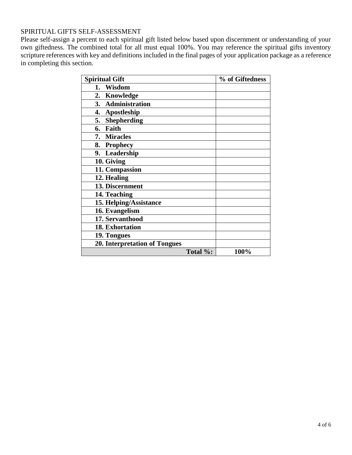### SPIRITUAL GIFTS SELF-ASSESSMENT

Please self-assign a percent to each spiritual gift listed below based upon discernment or understanding of your own giftedness. The combined total for all must equal 100%. You may reference the spiritual gifts inventory scripture references with key and definitions included in the final pages of your application package as a reference in completing this section.

| <b>Spiritual Gift</b>         |          | % of Giftedness |
|-------------------------------|----------|-----------------|
| Wisdom<br>1.                  |          |                 |
| 2. Knowledge                  |          |                 |
| 3. Administration             |          |                 |
| 4. Apostleship                |          |                 |
| 5.<br><b>Shepherding</b>      |          |                 |
| <b>Faith</b><br>6.            |          |                 |
| 7. Miracles                   |          |                 |
| 8. Prophecy                   |          |                 |
| 9. Leadership                 |          |                 |
| 10. Giving                    |          |                 |
| 11. Compassion                |          |                 |
| 12. Healing                   |          |                 |
| 13. Discernment               |          |                 |
| 14. Teaching                  |          |                 |
| 15. Helping/Assistance        |          |                 |
| 16. Evangelism                |          |                 |
| 17. Servanthood               |          |                 |
| 18. Exhortation               |          |                 |
| 19. Tongues                   |          |                 |
| 20. Interpretation of Tongues |          |                 |
|                               | Total %: | 100%            |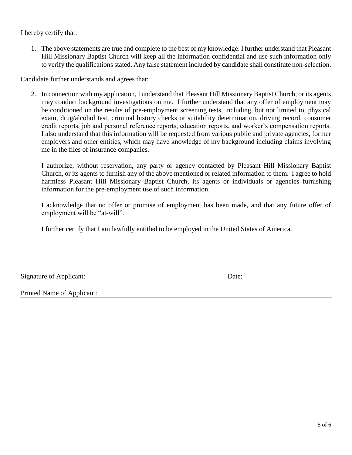I hereby certify that:

1. The above statements are true and complete to the best of my knowledge. I further understand that Pleasant Hill Missionary Baptist Church will keep all the information confidential and use such information only to verify the qualifications stated. Any false statement included by candidate shall constitute non-selection.

Candidate further understands and agrees that:

2. In connection with my application, I understand that Pleasant Hill Missionary Baptist Church, or its agents may conduct background investigations on me. I further understand that any offer of employment may be conditioned on the results of pre-employment screening tests, including, but not limited to, physical exam, drug/alcohol test, criminal history checks or suitability determination, driving record, consumer credit reports, job and personal reference reports, education reports, and worker's compensation reports. I also understand that this information will be requested from various public and private agencies, former employers and other entities, which may have knowledge of my background including claims involving me in the files of insurance companies.

I authorize, without reservation, any party or agency contacted by Pleasant Hill Missionary Baptist Church, or its agents to furnish any of the above mentioned or related information to them. I agree to hold harmless Pleasant Hill Missionary Baptist Church, its agents or individuals or agencies furnishing information for the pre-employment use of such information.

I acknowledge that no offer or promise of employment has been made, and that any future offer of employment will be "at-will".

I further certify that I am lawfully entitled to be employed in the United States of America.

Signature of Applicant: Date: Date:

Printed Name of Applicant: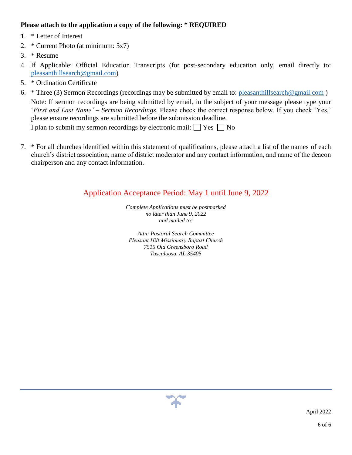### **Please attach to the application a copy of the following: \* REQUIRED**

- 1. \* Letter of Interest
- 2. \* Current Photo (at minimum: 5x7)
- 3. \* Resume
- 4. If Applicable: Official Education Transcripts (for post-secondary education only, email directly to: [pleasanthillsearch@gmail.com\)](mailto:pleasanthillsearch@gmail.com)
- 5. \* Ordination Certificate
- 6. \* Three (3) Sermon Recordings (recordings may be submitted by email to: [pleasanthillsearch@gmail.com](mailto:pleasanthillsearch@gmail.com)) Note: If sermon recordings are being submitted by email, in the subject of your message please type your '*First and Last Name' – Sermon Recordings*. Please check the correct response below. If you check 'Yes,' please ensure recordings are submitted before the submission deadline. I plan to submit my sermon recordings by electronic mail:  $\Box$  Yes  $\Box$  No
- 7. \* For all churches identified within this statement of qualifications, please attach a list of the names of each church's district association, name of district moderator and any contact information, and name of the deacon chairperson and any contact information.

### Application Acceptance Period: May 1 until June 9, 2022

*Complete Applications must be postmarked no later than June 9, 2022 and mailed to:* 

*Attn: Pastoral Search Committee Pleasant Hill Missionary Baptist Church 7515 Old Greensboro Road Tuscaloosa, AL 35405*

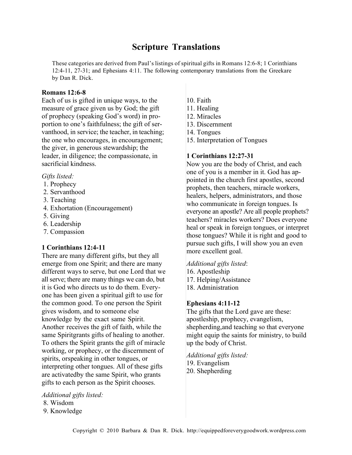## **Scripture Translations**

These categories are derived from Paul's listings of spiritual gifts in Romans 12:6-8; 1 Corinthians 12:4-11, 27-31; and Ephesians 4:11. The following contemporary translations from the Greekare by Dan R. Dick.

#### **Romans 12:6-8**

Each of us is gifted in unique ways, to the measure of grace given us by God; the gift of prophecy (speaking God's word) in proportion to one's faithfulness; the gift of servanthood, in service; the teacher, in teaching; the one who encourages, in encouragement; the giver, in generous stewardship; the leader, in diligence; the compassionate, in sacrificial kindness.

#### *Gifts listed:*

- 1. Prophecy
- 2. Servanthood
- 3. Teaching
- 4. Exhortation (Encouragement)
- 5. Giving
- 6. Leadership
- 7. Compassion

### **1 Corinthians 12:4-11**

There are many different gifts, but they all emerge from one Spirit; and there are many different ways to serve, but one Lord that we all serve; there are many things we can do, but it is God who directs us to do them. Everyone has been given a spiritual gift to use for the common good. To one person the Spirit gives wisdom, and to someone else knowledge by the exact same Spirit. Another receives the gift of faith, while the same Spiritgrants gifts of healing to another. To others the Spirit grants the gift of miracle working, or prophecy, or the discernment of spirits, or speaking in other tongues, or interpreting other tongues. All of these gifts are activated by the same Spirit, who grants gifts to each person as the Spirit chooses.

*Additional gifts listed:*  8. Wisdom 9. Knowledge

- 10. Faith
- 11. Healing
- 12. Miracles
- 13. Discernment
- 14. Tongues
- 15. Interpretation of Tongues

### **1 Corinthians 12:27-31**

Now you are the body of Christ, and each one of you is a member in it. God has appointed in the church first apostles, second prophets, then teachers, miracle workers, healers, helpers, administrators, and those who communicate in foreign tongues. Is everyone an apostle? Are all people prophets? teachers? miracles workers? Does everyone heal or speak in foreign tongues, or interpret those tongues? While it is right and good to pursue such gifts, I will show you an even more excellent goal.

*Additional gifts listed*: 16. Apostleship 17. Helping/Assistance 18. Administration

### **Ephesians 4:11-12**

The gifts that the Lord gave are these: apostleship, prophecy, evangelism, shepherding, and teaching so that everyone might equip the saints for ministry, to build up the body of Christ.

*Additional gifts listed:*  19. Evangelism 20. Shepherding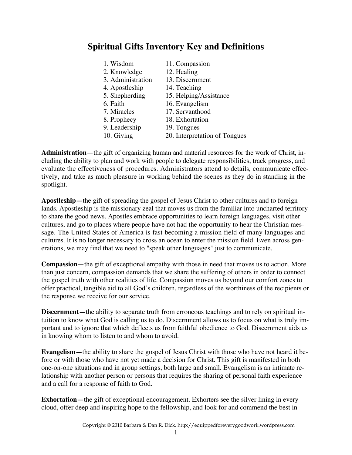# **Spiritual Gifts Inventory Key and Definitions**

| 1. Wisdom         | 11. Compassion                |
|-------------------|-------------------------------|
| 2. Knowledge      | 12. Healing                   |
| 3. Administration | 13. Discernment               |
| 4. Apostleship    | 14. Teaching                  |
| 5. Shepherding    | 15. Helping/Assistance        |
| 6. Faith          | 16. Evangelism                |
| 7. Miracles       | 17. Servanthood               |
| 8. Prophecy       | 18. Exhortation               |
| 9. Leadership     | 19. Tongues                   |
| 10. Giving        | 20. Interpretation of Tongues |
|                   |                               |

**Administration**—the gift of organizing human and material resources for the work of Christ, including the ability to plan and work with people to delegate responsibilities, track progress, and evaluate the effectiveness of procedures. Administrators attend to details, communicate effectively, and take as much pleasure in working behind the scenes as they do in standing in the spotlight.

**Apostleship—**the gift of spreading the gospel of Jesus Christ to other cultures and to foreign lands. Apostleship is the missionary zeal that moves us from the familiar into uncharted territory to share the good news. Apostles embrace opportunities to learn foreign languages, visit other cultures, and go to places where people have not had the opportunity to hear the Christian message. The United States of America is fast becoming a mission field of many languages and cultures. It is no longer necessary to cross an ocean to enter the mission field. Even across generations, we may find that we need to "speak other languages" just to communicate.

**Compassion—**the gift of exceptional empathy with those in need that moves us to action. More than just concern, compassion demands that we share the suffering of others in order to connect the gospel truth with other realities of life. Compassion moves us beyond our comfort zones to offer practical, tangible aid to all God's children, regardless of the worthiness of the recipients or the response we receive for our service.

**Discernment—**the ability to separate truth from erroneous teachings and to rely on spiritual intuition to know what God is calling us to do. Discernment allows us to focus on what is truly important and to ignore that which deflects us from faithful obedience to God. Discernment aids us in knowing whom to listen to and whom to avoid.

**Evangelism—**the ability to share the gospel of Jesus Christ with those who have not heard it before or with those who have not yet made a decision for Christ. This gift is manifested in both one-on-one situations and in group settings, both large and small. Evangelism is an intimate relationship with another person or persons that requires the sharing of personal faith experience and a call for a response of faith to God.

**Exhortation—**the gift of exceptional encouragement. Exhorters see the silver lining in every cloud, offer deep and inspiring hope to the fellowship, and look for and commend the best in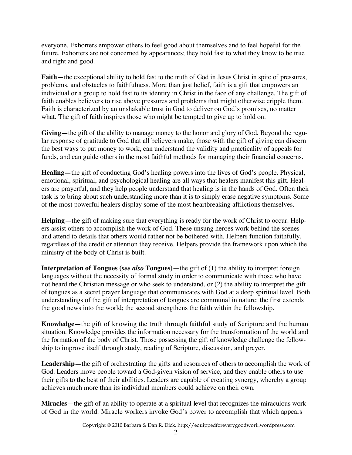everyone. Exhorters empower others to feel good about themselves and to feel hopeful for the future. Exhorters are not concerned by appearances; they hold fast to what they know to be true and right and good.

**Faith—the exceptional ability to hold fast to the truth of God in Jesus Christ in spite of pressures,** problems, and obstacles to faithfulness. More than just belief, faith is a gift that empowers an individual or a group to hold fast to its identity in Christ in the face of any challenge. The gift of faith enables believers to rise above pressures and problems that might otherwise cripple them. Faith is characterized by an unshakable trust in God to deliver on God's promises, no matter what. The gift of faith inspires those who might be tempted to give up to hold on.

**Giving—the gift of the ability to manage money to the honor and glory of God. Beyond the regu**lar response of gratitude to God that all believers make, those with the gift of giving can discern the best ways to put money to work, can understand the validity and practicality of appeals for funds, and can guide others in the most faithful methods for managing their financial concerns.

**Healing—**the gift of conducting God's healing powers into the lives of God's people. Physical, emotional, spiritual, and psychological healing are all ways that healers manifest this gift. Healers are prayerful, and they help people understand that healing is in the hands of God. Often their task is to bring about such understanding more than it is to simply erase negative symptoms. Some of the most powerful healers display some of the most heartbreaking afflictions themselves.

**Helping—**the gift of making sure that everything is ready for the work of Christ to occur. Helpers assist others to accomplish the work of God. These unsung heroes work behind the scenes and attend to details that others would rather not be bothered with. Helpers function faithfully, regardless of the credit or attention they receive. Helpers provide the framework upon which the ministry of the body of Christ is built.

**Interpretation of Tongues (***see also* **Tongues**)—the gift of (1) the ability to interpret foreign languages without the necessity of formal study in order to communicate with those who have not heard the Christian message or who seek to understand, or (2) the ability to interpret the gift of tongues as a secret prayer language that communicates with God at a deep spiritual level. Both understandings of the gift of interpretation of tongues are communal in nature: the first extends the good news into the world; the second strengthens the faith within the fellowship.

**Knowledge—the gift of knowing the truth through faithful study of Scripture and the human** situation. Knowledge provides the information necessary for the transformation of the world and the formation of the body of Christ. Those possessing the gift of knowledge challenge the fellowship to improve itself through study, reading of Scripture, discussion, and prayer.

**Leadership—**the gift of orchestrating the gifts and resources of others to accomplish the work of God. Leaders move people toward a God-given vision of service, and they enable others to use their gifts to the best of their abilities. Leaders are capable of creating synergy, whereby a group achieves much more than its individual members could achieve on their own.

**Miracles—the gift of an ability to operate at a spiritual level that recognizes the miraculous work** of God in the world. Miracle workers invoke God's power to accomplish that which appears